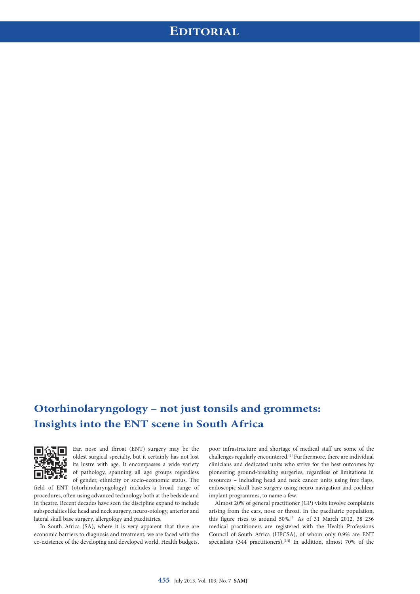# **Otorhinolaryngology – not just tonsils and grommets: Insights into the ENT scene in South Africa**



Ear, nose and throat (ENT) surgery may be the oldest surgical specialty, but it certainly has not lost its lustre with age. It encompasses a wide variety of pathology, spanning all age groups regardless of gender, ethnicity or socio-economic status. The

field of ENT (otorhinolaryngology) includes a broad range of procedures, often using advanced technology both at the bedside and in theatre. Recent decades have seen the discipline expand to include subspecialties like head and neck surgery, neuro-otology, anterior and lateral skull base surgery, allergology and paediatrics.

In South Africa (SA), where it is very apparent that there are economic barriers to diagnosis and treatment, we are faced with the co-existence of the developing and developed world. Health budgets,

poor infrastructure and shortage of medical staff are some of the challenges regularly encountered.[1] Furthermore, there are individual clinicians and dedicated units who strive for the best outcomes by pioneering ground-breaking surgeries, regardless of limitations in resources – including head and neck cancer units using free flaps, endoscopic skull-base surgery using neuro-navigation and cochlear implant programmes, to name a few.

Almost 20% of general practitioner (GP) visits involve complaints arising from the ears, nose or throat. In the paediatric population, this figure rises to around 50%.[2] As of 31 March 2012, 38 236 medical practitioners are registered with the Health Professions Council of South Africa (HPCSA), of whom only 0.9% are ENT specialists (344 practitioners).<sup>[3,4]</sup> In addition, almost 70% of the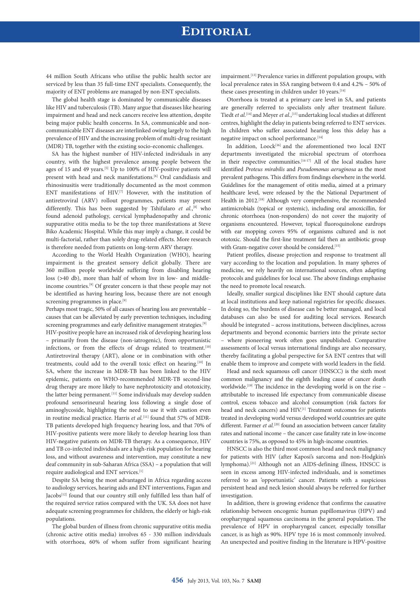### **EDITORIAL**

44 million South Africans who utilise the public health sector are serviced by less than 35 full-time ENT specialists. Consequently, the majority of ENT problems are managed by non-ENT specialists.

The global health stage is dominated by communicable diseases like HIV and tuberculosis (TB). Many argue that diseases like hearing impairment and head and neck cancers receive less attention, despite being major public health concerns. In SA, communicable and noncommunicable ENT diseases are interlinked owing largely to the high prevalence of HIV and the increasing problem of multi-drug resistant (MDR) TB, together with the existing socio-economic challenges.

SA has the highest number of HIV-infected individuals in any country, with the highest prevalence among people between the ages of 15 and 49 years.<sup>[5]</sup> Up to 100% of HIV-positive patients will present with head and neck manifestations.<sup>[6]</sup> Oral candidiasis and rhinosinusitis were traditionally documented as the most common ENT manifestations of HIV.<sup>[7]</sup> However, with the institution of antiretroviral (ARV) rollout programmes, patients may present differently. This has been suggested by Tshifularo et al.,<sup>[8]</sup> who found adenoid pathology, cervical lymphadenopathy and chronic suppurative otitis media to be the top three manifestations at Steve Biko Academic Hospital. While this may imply a change, it could be multi-factorial, rather than solely drug-related effects. More research is therefore needed from patients on long-term ARV therapy.

According to the World Health Organization (WHO), hearing impairment is the greatest sensory deficit globally. There are 360 million people worldwide suffering from disabling hearing loss (**>**40 db), more than half of whom live in low- and middleincome countries.[9] Of greater concern is that these people may not be identified as having hearing loss, because there are not enough screening programmes in place.<sup>[9]</sup>

Perhaps most tragic, 50% of all causes of hearing loss are preventable – causes that can be alleviated by early prevention techniques, including screening programmes and early definitive management strategies.<sup>[9]</sup>

HIV-positive people have an increased risk of developing hearing loss – primarily from the disease (non-iatrogenic), from opportunistic infections, or from the effects of drugs related to treatment.<sup>[10]</sup> Antiretroviral therapy (ART), alone or in combination with other treatments, could add to the overall toxic effect on hearing.<sup>[10]</sup> In SA, where the increase in MDR-TB has been linked to the HIV epidemic, patients on WHO-recommended MDR-TB second-line drug therapy are more likely to have nephrotoxicity and ototoxicity, the latter being permanent.<sup>[11]</sup> Some individuals may develop sudden profound sensorineural hearing loss following a single dose of aminoglycoside, highlighting the need to use it with caution even in routine medical practice. Harris *et al.*<sup>[11]</sup> found that 57% of MDR-TB patients developed high frequency hearing loss, and that 70% of HIV-positive patients were more likely to develop hearing loss than HIV-negative patients on MDR-TB therapy. As a consequence, HIV and TB co-infected individuals are a high-risk population for hearing loss, and without awareness and intervention, may constitute a new deaf community in sub-Saharan Africa (SSA) – a population that will require audiological and ENT services.<sup>[1]</sup>

Despite SA being the most advantaged in Africa regarding access to audiology services, hearing aids and ENT interventions, Fagan and Jacobs<sup>[12]</sup> found that our country still only fulfilled less than half of the required service ratios compared with the UK. SA does not have adequate screening programmes for children, the elderly or high-risk populations.

The global burden of illness from chronic suppurative otitis media (chronic active otitis media) involves 65 - 330 million individuals with otorrhoea, 60% of whom suffer from significant hearing impairment.<sup>[13]</sup> Prevalence varies in different population groups, with local prevalence rates in SSA ranging between 0.4 and 4.2% – 50% of these cases presenting in children under 10 years.<sup>[14]</sup>

Otorrhoea is treated at a primary care level in SA, and patients are generally referred to specialists only after treatment failure. Tiedt *et al.*[14] and Meyer *et al.*, [15] undertaking local studies at different centres, highlight the delay in patients being referred to ENT services. In children who suffer associated hearing loss this delay has a negative impact on school performance.<sup>[14]</sup>

In addition, Loock<sup>[16]</sup> and the aforementioned two local ENT departments investigated the microbial spectrum of otorrhoea in their respective communities.<sup>[14-17]</sup> All of the local studies have identified *Proteus mirabilis* and *Pseudomonas aeruginosa* as the most prevalent pathogens. This differs from findings elsewhere in the world. Guidelines for the management of otitis media, aimed at a primary healthcare level, were released by the the National Department of Health in 2012.<sup>[18]</sup> Although very comprehensive, the recommended antimicrobials (topical or systemic), including oral amoxicillin, for chronic otorrhoea (non-responders) do not cover the majority of organisms encountered. However, topical fluoroquinolone eardrops with ear mopping covers 95% of organisms cultured and is not ototoxic. Should the first-line treatment fail then an antibiotic group with Gram-negative cover should be considered.<sup>[15]</sup>

Patient profiles, disease projection and response to treatment all vary according to the location and population. In many spheres of medicine, we rely heavily on international sources, often adapting protocols and guidelines for local use. The above findings emphasise the need to promote local research.

Ideally, smaller surgical disciplines like ENT should capture data at local institutions and keep national registries for specific diseases. In doing so, the burdens of disease can be better managed, and local databases can also be used for auditing local services. Research should be integrated – across institutions, between disciplines, across departments and beyond economic barriers into the private sector – where pioneering work often goes unpublished. Comparative assessments of local versus international findings are also necessary, thereby facilitating a global perspective for SA ENT centres that will enable them to improve and compete with world leaders in the field.

Head and neck squamous cell cancer (HNSCC) is the sixth most common malignancy and the eighth leading cause of cancer death worldwide.[19] The incidence in the developing world is on the rise – attributable to increased life expectancy from communicable disease control, excess tobacco and alcohol consumption (risk factors for head and neck cancers) and HIV.<sup>[1]</sup> Treatment outcomes for patients treated in developing world versus developed world countries are quite different. Farmer *et al.*<sup>[20]</sup> found an association between cancer fatality rates and national income – the cancer case fatality rate in low-income countries is 75%, as opposed to 45% in high-income countries.

HNSCC is also the third most common head and neck malignancy for patients with HIV (after Kaposi's sarcoma and non-Hodgkin's lymphoma).[21] Although not an AIDS-defining illness, HNSCC is seen in excess among HIV-infected individuals, and is sometimes referred to an 'opportunistic' cancer. Patients with a suspicious persistent head and neck lesion should always be referred for further investigation.

In addition, there is growing evidence that confirms the causative relationship between oncogenic human papillomavirus (HPV) and oropharyngeal squamous carcinoma in the general population. The prevalence of HPV in oropharyngeal cancer, especially tonsillar cancer, is as high as 90%. HPV type 16 is most commonly involved. An unexpected and positive finding in the literature is HPV-positive